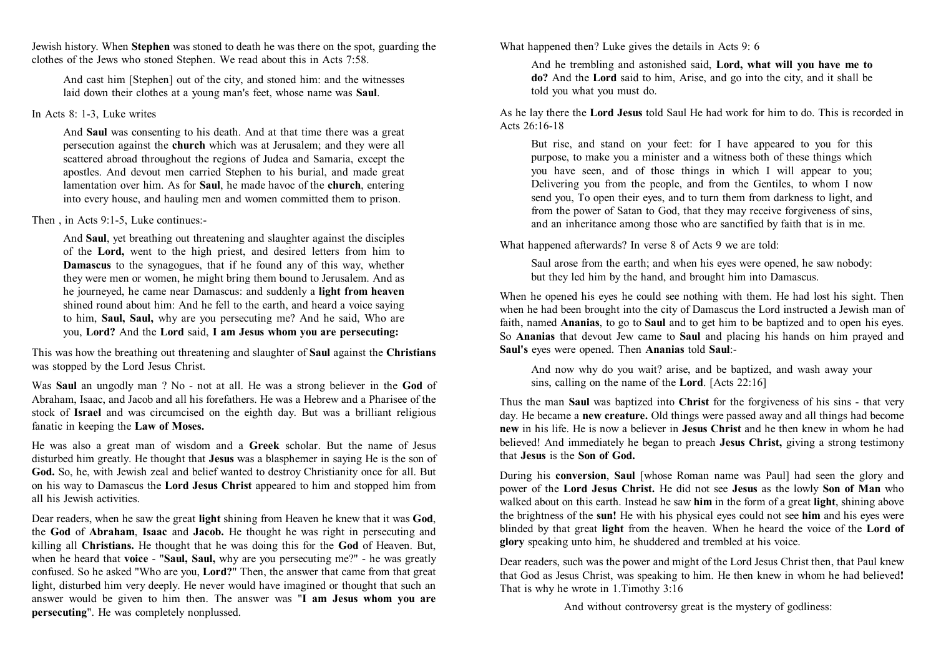Jewish history. When **Stephen** was stoned to death he was there on the spot, guarding the clothes of the Jews who stoned Stephen. We read about this in Acts 7:58.

And cast him [Stephen] out of the city, and stoned him: and the witnesses laid down their clothes at a young man's feet, whose name was **Saul**.

## In Acts 8: 1-3, Luke writes

And **Saul** was consenting to his death. And at that time there was a great persecution against the **church** which was at Jerusalem; and they were all scattered abroad throughout the regions of Judea and Samaria, except the apostles. And devout men carried Stephen to his burial, and made great lamentation over him. As for **Saul**, he made havoc of the **church**, entering into every house, and hauling men and women committed them to prison.

# Then in Acts  $9.1-5$ , Luke continues:

And **Saul**, yet breathing out threatening and slaughter against the disciples of the **Lord,** went to the high priest, and desired letters from him to **Damascus** to the synagogues, that if he found any of this way, whether they were men or women, he might bring them bound to Jerusalem. And as he journeyed, he came near Damascus: and suddenly a **light from heaven** shined round about him: And he fell to the earth, and heard a voice saying to him, **Saul, Saul,** why are you persecuting me? And he said, Who are you, **Lord?** And the **Lord** said, **I am Jesus whom you are persecuting:**

This was how the breathing out threatening and slaughter of **Saul** against the **Christians** was stopped by the Lord Jesus Christ.

Was **Saul** an ungodly man ? No - not at all. He was a strong believer in the **God** of Abraham, Isaac, and Jacob and all his forefathers. He was a Hebrew and a Pharisee of the stock of **Israel** and was circumcised on the eighth day. But was a brilliant religious fanatic in keeping the **Law of Moses.**

He was also a great man of wisdom and a **Greek** scholar. But the name of Jesus disturbed him greatly. He thought that **Jesus** was a blasphemer in saying He is the son of **God.** So, he, with Jewish zeal and belief wanted to destroy Christianity once for all. But on his way to Damascus the **Lord Jesus Christ** appeared to him and stopped him from all his Jewish activities.

Dear readers, when he saw the great **light** shining from Heaven he knew that it was **God**, the **God** of **Abraham**, **Isaac** and **Jacob.** He thought he was right in persecuting and killing all **Christians.** He thought that he was doing this for the **God** of Heaven. But, when he heard that **voice** - "**Saul, Saul,** why are you persecuting me?" - he was greatly confused. So he asked "Who are you, **Lord?**" Then, the answer that came from that great light, disturbed him very deeply. He never would have imagined or thought that such an answer would be given to him then. The answer was "**I am Jesus whom you are persecuting**". He was completely nonplussed.

What happened then? Luke gives the details in Acts 9: 6

And he trembling and astonished said, **Lord, what will you have me to do?** And the **Lord** said to him, Arise, and go into the city, and it shall be told you what you must do.

As he lay there the **Lord Jesus** told Saul He had work for him to do. This is recorded in Acts  $26.16 - 18$ 

But rise, and stand on your feet: for I have appeared to you for this purpose, to make you a minister and a witness both of these things which you have seen, and of those things in which I will appear to you; Delivering you from the people, and from the Gentiles, to whom I now send you, To open their eyes, and to turn them from darkness to light, and from the power of Satan to God, that they may receive forgiveness of sins, and an inheritance among those who are sanctified by faith that is in me.

What happened afterwards? In verse 8 of Acts 9 we are told:

Saul arose from the earth; and when his eyes were opened, he saw nobody: but they led him by the hand, and brought him into Damascus.

When he opened his eyes he could see nothing with them. He had lost his sight. Then when he had been brought into the city of Damascus the Lord instructed a Jewish man of faith, named **Ananias**, to go to **Saul** and to get him to be baptized and to open his eyes. So **Ananias** that devout Jew came to **Saul** and placing his hands on him prayed and **Saul's** eyes were opened. Then **Ananias** told **Saul**:-

And now why do you wait? arise, and be baptized, and wash away your sins, calling on the name of the **Lord**. [Acts 22:16]

Thus the man **Saul** was baptized into **Christ** for the forgiveness of his sins - that very day. He became a **new creature.** Old things were passed away and all things had become **new** in his life. He is now a believer in **Jesus Christ** and he then knew in whom he had believed! And immediately he began to preach **Jesus Christ,** giving a strong testimony that **Jesus** is the **Son of God.**

During his **conversion**, **Saul** [whose Roman name was Paul] had seen the glory and power of the **Lord Jesus Christ.** He did not see **Jesus** as the lowly **Son of Man** who walked about on this earth. Instead he saw **him** in the form of a great **light**, shining above the brightness of the **sun!** He with his physical eyes could not see **him** and his eyes were blinded by that great **light** from the heaven. When he heard the voice of the **Lord of glory** speaking unto him, he shuddered and trembled at his voice.

Dear readers, such was the power and might of the Lord Jesus Christ then, that Paul knew that God as Jesus Christ, was speaking to him. He then knew in whom he had believed**!** That is why he wrote in 1.Timothy 3:16

And without controversy great is the mystery of godliness: